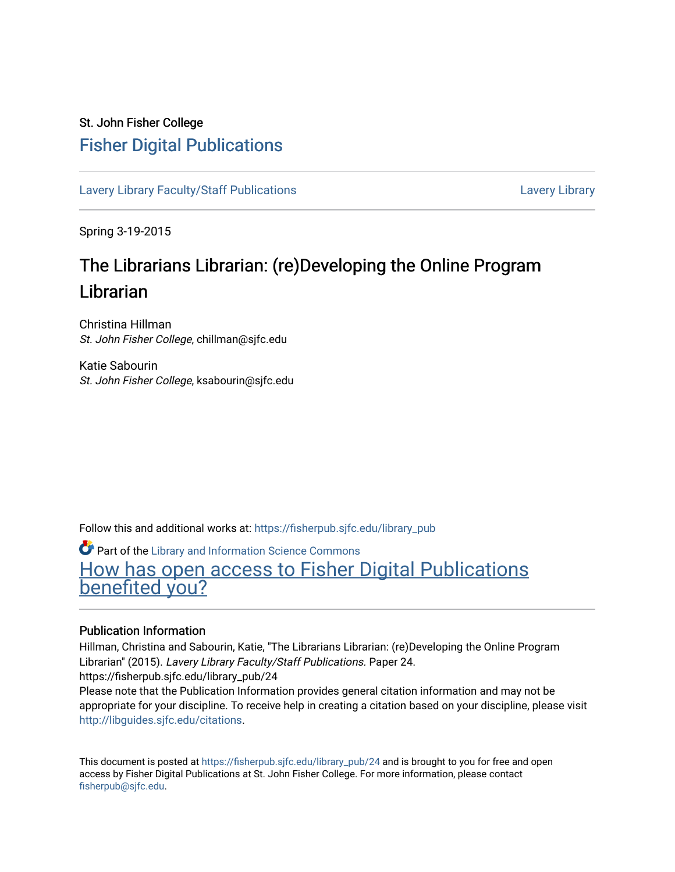### St. John Fisher College [Fisher Digital Publications](https://fisherpub.sjfc.edu/)

[Lavery Library Faculty/Staff Publications](https://fisherpub.sjfc.edu/library_pub) **Latter Controllery Library Library** Lavery Library

Spring 3-19-2015

## The Librarians Librarian: (re)Developing the Online Program Librarian

Christina Hillman St. John Fisher College, chillman@sjfc.edu

Katie Sabourin St. John Fisher College, ksabourin@sjfc.edu

Follow this and additional works at: [https://fisherpub.sjfc.edu/library\\_pub](https://fisherpub.sjfc.edu/library_pub?utm_source=fisherpub.sjfc.edu%2Flibrary_pub%2F24&utm_medium=PDF&utm_campaign=PDFCoverPages)

Part of the [Library and Information Science Commons](http://network.bepress.com/hgg/discipline/1018?utm_source=fisherpub.sjfc.edu%2Flibrary_pub%2F24&utm_medium=PDF&utm_campaign=PDFCoverPages)  [How has open access to Fisher Digital Publications](https://docs.google.com/forms/d/14zrnDfH9d1wcdq8oG_-gFabAsxfcH5claltx85ZWyTg/viewform?entry.1394608989=https://fisherpub.sjfc.edu/library_pub/24%3Chttps://docs.google.com/forms/d/14zrnDfH9d1wcdq8oG_-gFabAsxfcH5claltx85ZWyTg/viewform?entry.1394608989=%7bhttps://fisherpub.sjfc.edu/library_pub/24%7d) [benefited you?](https://docs.google.com/forms/d/14zrnDfH9d1wcdq8oG_-gFabAsxfcH5claltx85ZWyTg/viewform?entry.1394608989=https://fisherpub.sjfc.edu/library_pub/24%3Chttps://docs.google.com/forms/d/14zrnDfH9d1wcdq8oG_-gFabAsxfcH5claltx85ZWyTg/viewform?entry.1394608989=%7bhttps://fisherpub.sjfc.edu/library_pub/24%7d)

### Publication Information

Hillman, Christina and Sabourin, Katie, "The Librarians Librarian: (re)Developing the Online Program Librarian" (2015). Lavery Library Faculty/Staff Publications. Paper 24. https://fisherpub.sjfc.edu/library\_pub/24

Please note that the Publication Information provides general citation information and may not be appropriate for your discipline. To receive help in creating a citation based on your discipline, please visit [http://libguides.sjfc.edu/citations.](http://libguides.sjfc.edu/citations)

This document is posted at [https://fisherpub.sjfc.edu/library\\_pub/24](https://fisherpub.sjfc.edu/library_pub/24) and is brought to you for free and open access by Fisher Digital Publications at St. John Fisher College. For more information, please contact [fisherpub@sjfc.edu](mailto:fisherpub@sjfc.edu).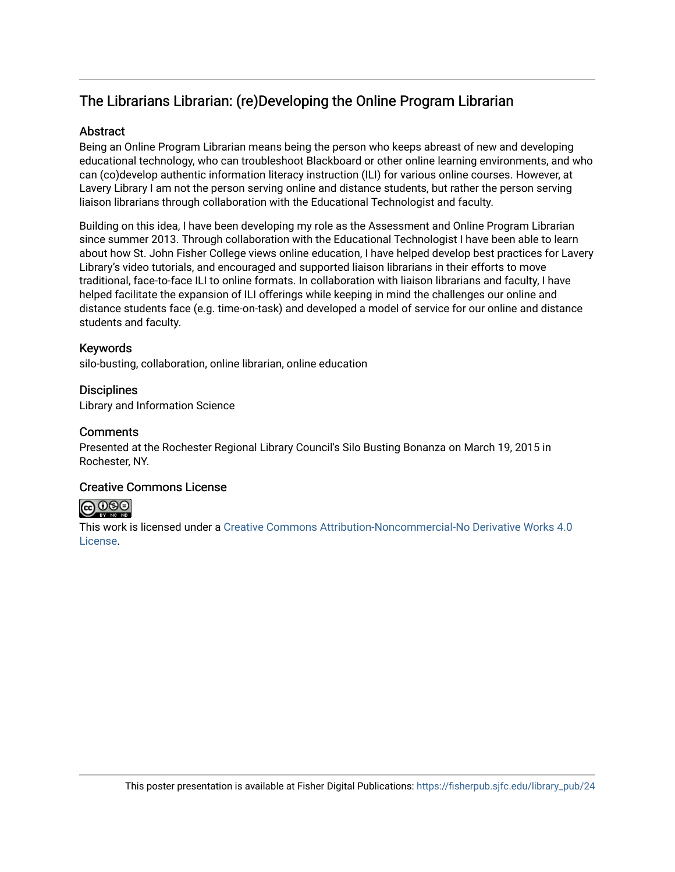### The Librarians Librarian: (re)Developing the Online Program Librarian

### **Abstract**

Being an Online Program Librarian means being the person who keeps abreast of new and developing educational technology, who can troubleshoot Blackboard or other online learning environments, and who can (co)develop authentic information literacy instruction (ILI) for various online courses. However, at Lavery Library I am not the person serving online and distance students, but rather the person serving liaison librarians through collaboration with the Educational Technologist and faculty.

Building on this idea, I have been developing my role as the Assessment and Online Program Librarian since summer 2013. Through collaboration with the Educational Technologist I have been able to learn about how St. John Fisher College views online education, I have helped develop best practices for Lavery Library's video tutorials, and encouraged and supported liaison librarians in their efforts to move traditional, face-to-face ILI to online formats. In collaboration with liaison librarians and faculty, I have helped facilitate the expansion of ILI offerings while keeping in mind the challenges our online and distance students face (e.g. time-on-task) and developed a model of service for our online and distance students and faculty.

### Keywords

silo-busting, collaboration, online librarian, online education

### **Disciplines**

Library and Information Science

### **Comments**

Presented at the Rochester Regional Library Council's Silo Busting Bonanza on March 19, 2015 in Rochester, NY.

### Creative Commons License

### $\bigodot \bigodot \oplus \bigodot$

This work is licensed under a [Creative Commons Attribution-Noncommercial-No Derivative Works 4.0](https://creativecommons.org/licenses/by-nc-nd/4.0/) [License](https://creativecommons.org/licenses/by-nc-nd/4.0/).